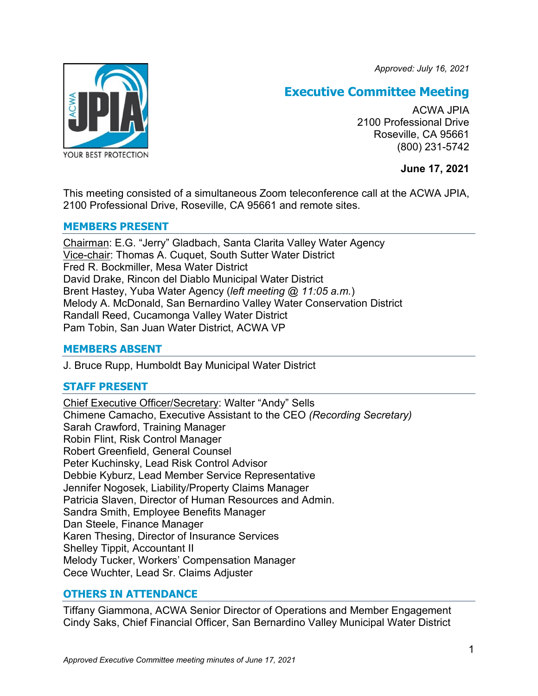*Approved: July 16, 2021*



# **Executive Committee Meeting**

ACWA JPIA 2100 Professional Drive Roseville, CA 95661 (800) 231-5742

**June 17, 2021**

This meeting consisted of a simultaneous Zoom teleconference call at the ACWA JPIA, 2100 Professional Drive, Roseville, CA 95661 and remote sites.

## **MEMBERS PRESENT**

Chairman: E.G. "Jerry" Gladbach, Santa Clarita Valley Water Agency Vice-chair: Thomas A. Cuquet, South Sutter Water District Fred R. Bockmiller, Mesa Water District David Drake, Rincon del Diablo Municipal Water District Brent Hastey, Yuba Water Agency (*left meeting @ 11:05 a.m.*) Melody A. McDonald, San Bernardino Valley Water Conservation District Randall Reed, Cucamonga Valley Water District Pam Tobin, San Juan Water District, ACWA VP

# **MEMBERS ABSENT**

J. Bruce Rupp, Humboldt Bay Municipal Water District

# **STAFF PRESENT**

Chief Executive Officer/Secretary: Walter "Andy" Sells Chimene Camacho, Executive Assistant to the CEO *(Recording Secretary)* Sarah Crawford, Training Manager Robin Flint, Risk Control Manager Robert Greenfield, General Counsel Peter Kuchinsky, Lead Risk Control Advisor Debbie Kyburz, Lead Member Service Representative Jennifer Nogosek, Liability/Property Claims Manager Patricia Slaven, Director of Human Resources and Admin. Sandra Smith, Employee Benefits Manager Dan Steele, Finance Manager Karen Thesing, Director of Insurance Services Shelley Tippit, Accountant II Melody Tucker, Workers' Compensation Manager Cece Wuchter, Lead Sr. Claims Adjuster

# **OTHERS IN ATTENDANCE**

Tiffany Giammona, ACWA Senior Director of Operations and Member Engagement Cindy Saks, Chief Financial Officer, San Bernardino Valley Municipal Water District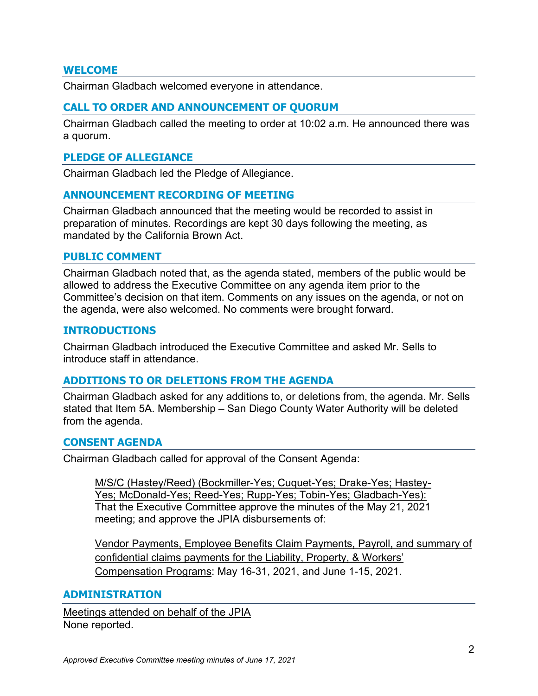## **WELCOME**

Chairman Gladbach welcomed everyone in attendance.

## **CALL TO ORDER AND ANNOUNCEMENT OF QUORUM**

Chairman Gladbach called the meeting to order at 10:02 a.m. He announced there was a quorum.

#### **PLEDGE OF ALLEGIANCE**

Chairman Gladbach led the Pledge of Allegiance.

#### **ANNOUNCEMENT RECORDING OF MEETING**

Chairman Gladbach announced that the meeting would be recorded to assist in preparation of minutes. Recordings are kept 30 days following the meeting, as mandated by the California Brown Act.

#### **PUBLIC COMMENT**

Chairman Gladbach noted that, as the agenda stated, members of the public would be allowed to address the Executive Committee on any agenda item prior to the Committee's decision on that item. Comments on any issues on the agenda, or not on the agenda, were also welcomed. No comments were brought forward.

#### **INTRODUCTIONS**

Chairman Gladbach introduced the Executive Committee and asked Mr. Sells to introduce staff in attendance.

#### **ADDITIONS TO OR DELETIONS FROM THE AGENDA**

Chairman Gladbach asked for any additions to, or deletions from, the agenda. Mr. Sells stated that Item 5A. Membership – San Diego County Water Authority will be deleted from the agenda.

#### **CONSENT AGENDA**

Chairman Gladbach called for approval of the Consent Agenda:

M/S/C (Hastey/Reed) (Bockmiller-Yes; Cuquet-Yes; Drake-Yes; Hastey-Yes; McDonald-Yes; Reed-Yes; Rupp-Yes; Tobin-Yes; Gladbach-Yes): That the Executive Committee approve the minutes of the May 21, 2021 meeting; and approve the JPIA disbursements of:

Vendor Payments, Employee Benefits Claim Payments, Payroll, and summary of confidential claims payments for the Liability, Property, & Workers' Compensation Programs: May 16-31, 2021, and June 1-15, 2021.

#### **ADMINISTRATION**

Meetings attended on behalf of the JPIA None reported.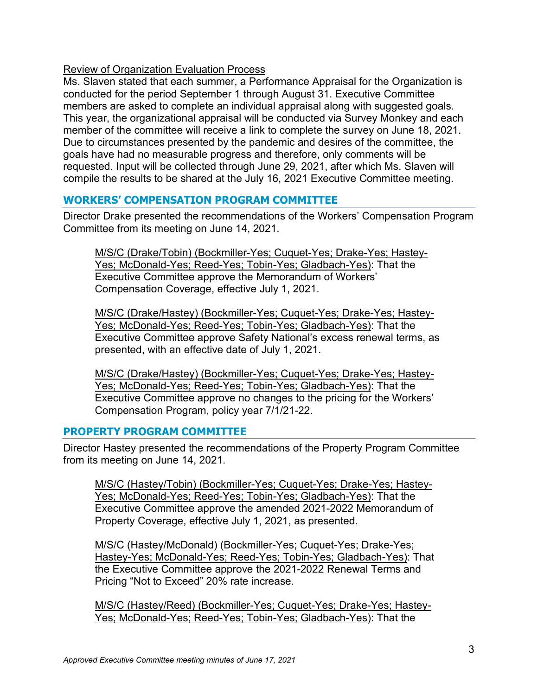## Review of Organization Evaluation Process

Ms. Slaven stated that each summer, a Performance Appraisal for the Organization is conducted for the period September 1 through August 31. Executive Committee members are asked to complete an individual appraisal along with suggested goals. This year, the organizational appraisal will be conducted via Survey Monkey and each member of the committee will receive a link to complete the survey on June 18, 2021. Due to circumstances presented by the pandemic and desires of the committee, the goals have had no measurable progress and therefore, only comments will be requested. Input will be collected through June 29, 2021, after which Ms. Slaven will compile the results to be shared at the July 16, 2021 Executive Committee meeting.

# **WORKERS' COMPENSATION PROGRAM COMMITTEE**

Director Drake presented the recommendations of the Workers' Compensation Program Committee from its meeting on June 14, 2021.

M/S/C (Drake/Tobin) (Bockmiller-Yes; Cuquet-Yes; Drake-Yes; Hastey-Yes; McDonald-Yes; Reed-Yes; Tobin-Yes; Gladbach-Yes): That the Executive Committee approve the Memorandum of Workers' Compensation Coverage, effective July 1, 2021.

M/S/C (Drake/Hastey) (Bockmiller-Yes; Cuquet-Yes; Drake-Yes; Hastey-Yes; McDonald-Yes; Reed-Yes; Tobin-Yes; Gladbach-Yes): That the Executive Committee approve Safety National's excess renewal terms, as presented, with an effective date of July 1, 2021.

M/S/C (Drake/Hastey) (Bockmiller-Yes; Cuquet-Yes; Drake-Yes; Hastey-Yes; McDonald-Yes; Reed-Yes; Tobin-Yes; Gladbach-Yes): That the Executive Committee approve no changes to the pricing for the Workers' Compensation Program, policy year 7/1/21-22.

## **PROPERTY PROGRAM COMMITTEE**

Director Hastey presented the recommendations of the Property Program Committee from its meeting on June 14, 2021.

M/S/C (Hastey/Tobin) (Bockmiller-Yes; Cuquet-Yes; Drake-Yes; Hastey-Yes; McDonald-Yes; Reed-Yes; Tobin-Yes; Gladbach-Yes): That the Executive Committee approve the amended 2021-2022 Memorandum of Property Coverage, effective July 1, 2021, as presented.

M/S/C (Hastey/McDonald) (Bockmiller-Yes; Cuquet-Yes; Drake-Yes; Hastey-Yes; McDonald-Yes; Reed-Yes; Tobin-Yes; Gladbach-Yes): That the Executive Committee approve the 2021-2022 Renewal Terms and Pricing "Not to Exceed" 20% rate increase.

M/S/C (Hastey/Reed) (Bockmiller-Yes; Cuquet-Yes; Drake-Yes; Hastey-Yes; McDonald-Yes; Reed-Yes; Tobin-Yes; Gladbach-Yes): That the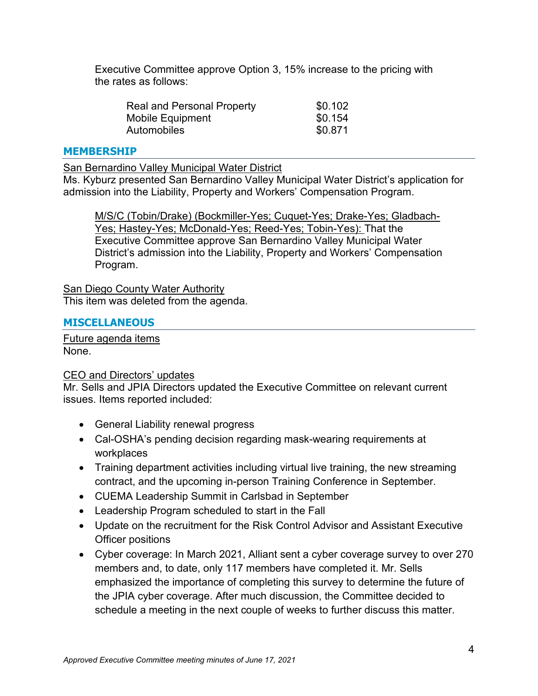Executive Committee approve Option 3, 15% increase to the pricing with the rates as follows:

| <b>Real and Personal Property</b> | \$0.102 |
|-----------------------------------|---------|
| Mobile Equipment                  | \$0.154 |
| Automobiles                       | \$0.871 |

#### **MEMBERSHIP**

San Bernardino Valley Municipal Water District

Ms. Kyburz presented San Bernardino Valley Municipal Water District's application for admission into the Liability, Property and Workers' Compensation Program.

M/S/C (Tobin/Drake) (Bockmiller-Yes; Cuquet-Yes; Drake-Yes; Gladbach-Yes; Hastey-Yes; McDonald-Yes; Reed-Yes; Tobin-Yes): That the Executive Committee approve San Bernardino Valley Municipal Water District's admission into the Liability, Property and Workers' Compensation Program.

San Diego County Water Authority This item was deleted from the agenda.

## **MISCELLANEOUS**

Future agenda items None.

#### CEO and Directors' updates

Mr. Sells and JPIA Directors updated the Executive Committee on relevant current issues. Items reported included:

- General Liability renewal progress
- Cal-OSHA's pending decision regarding mask-wearing requirements at workplaces
- Training department activities including virtual live training, the new streaming contract, and the upcoming in-person Training Conference in September.
- CUEMA Leadership Summit in Carlsbad in September
- Leadership Program scheduled to start in the Fall
- Update on the recruitment for the Risk Control Advisor and Assistant Executive Officer positions
- Cyber coverage: In March 2021, Alliant sent a cyber coverage survey to over 270 members and, to date, only 117 members have completed it. Mr. Sells emphasized the importance of completing this survey to determine the future of the JPIA cyber coverage. After much discussion, the Committee decided to schedule a meeting in the next couple of weeks to further discuss this matter.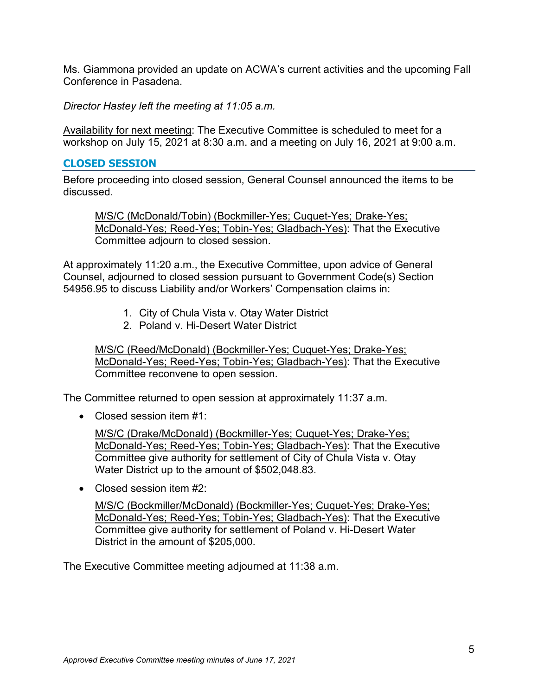Ms. Giammona provided an update on ACWA's current activities and the upcoming Fall Conference in Pasadena.

*Director Hastey left the meeting at 11:05 a.m.*

Availability for next meeting: The Executive Committee is scheduled to meet for a workshop on July 15, 2021 at 8:30 a.m. and a meeting on July 16, 2021 at 9:00 a.m.

#### **CLOSED SESSION**

Before proceeding into closed session, General Counsel announced the items to be discussed.

M/S/C (McDonald/Tobin) (Bockmiller-Yes; Cuquet-Yes; Drake-Yes; McDonald-Yes; Reed-Yes; Tobin-Yes; Gladbach-Yes): That the Executive Committee adjourn to closed session.

At approximately 11:20 a.m., the Executive Committee, upon advice of General Counsel, adjourned to closed session pursuant to Government Code(s) Section 54956.95 to discuss Liability and/or Workers' Compensation claims in:

- 1. City of Chula Vista v. Otay Water District
- 2. Poland v. Hi-Desert Water District

M/S/C (Reed/McDonald) (Bockmiller-Yes; Cuquet-Yes; Drake-Yes; McDonald-Yes; Reed-Yes; Tobin-Yes; Gladbach-Yes): That the Executive Committee reconvene to open session.

The Committee returned to open session at approximately 11:37 a.m.

• Closed session item #1:

M/S/C (Drake/McDonald) (Bockmiller-Yes; Cuquet-Yes; Drake-Yes; McDonald-Yes; Reed-Yes; Tobin-Yes; Gladbach-Yes): That the Executive Committee give authority for settlement of City of Chula Vista v. Otay Water District up to the amount of \$502,048.83.

• Closed session item #2:

M/S/C (Bockmiller/McDonald) (Bockmiller-Yes; Cuquet-Yes; Drake-Yes; McDonald-Yes; Reed-Yes; Tobin-Yes; Gladbach-Yes): That the Executive Committee give authority for settlement of Poland v. Hi-Desert Water District in the amount of \$205,000.

The Executive Committee meeting adjourned at 11:38 a.m.